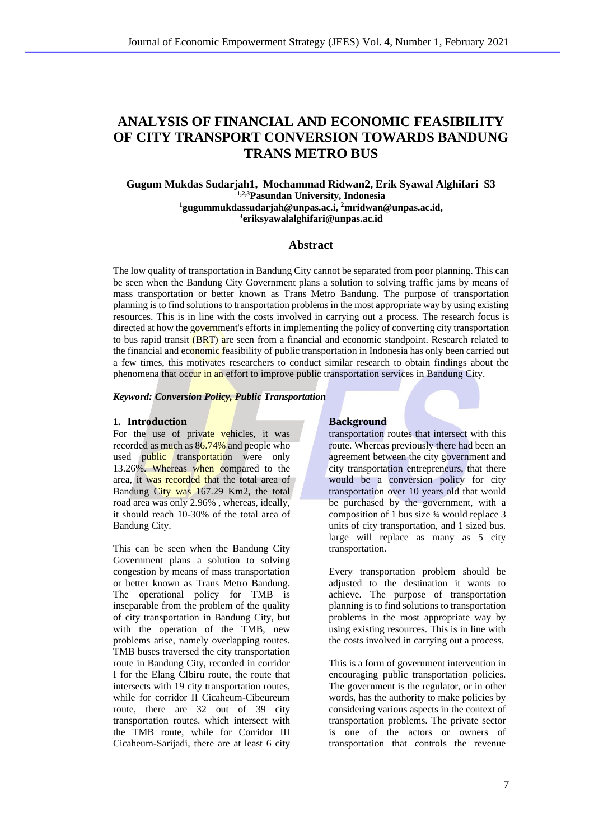# **ANALYSIS OF FINANCIAL AND ECONOMIC FEASIBILITY OF CITY TRANSPORT CONVERSION TOWARDS BANDUNG TRANS METRO BUS**

**Gugum Mukdas Sudarjah1, Mochammad Ridwan2, Erik Syawal Alghifari S3 1,2,3Pasundan University, Indonesia <sup>1</sup>gugummukdassudarjah@unpas.ac.i, <sup>2</sup>mridwan@unpas.ac.id, 3 eriksyawalalghifari@unpas.ac.id**

## **Abstract**

The low quality of transportation in Bandung City cannot be separated from poor planning. This can be seen when the Bandung City Government plans a solution to solving traffic jams by means of mass transportation or better known as Trans Metro Bandung. The purpose of transportation planning is to find solutions to transportation problems in the most appropriate way by using existing resources. This is in line with the costs involved in carrying out a process. The research focus is directed at how the government's efforts in implementing the policy of converting city transportation to bus rapid transit (BRT) are seen from a financial and economic standpoint. Research related to the financial and economic feasibility of public transportation in Indonesia has only been carried out a few times, this motivates researchers to conduct similar research to obtain findings about the phenomena that occur in an effort to improve public transportation services in Bandung City.

#### *Keyword: Conversion Policy, Public Transportation*

### **1. Introduction Background**

For the use of private vehicles, it was recorded as much as 86.74% and people who used public transportation were only 13.26%. Whereas when compared to the area, it was recorded that the total area of Bandung City was 167.29 Km2, the total road area was only 2.96% , whereas, ideally, it should reach 10-30% of the total area of Bandung City.

This can be seen when the Bandung City Government plans a solution to solving congestion by means of mass transportation or better known as Trans Metro Bandung. The operational policy for TMB is inseparable from the problem of the quality of city transportation in Bandung City, but with the operation of the TMB, new problems arise, namely overlapping routes. TMB buses traversed the city transportation route in Bandung City, recorded in corridor I for the Elang CIbiru route, the route that intersects with 19 city transportation routes, while for corridor II Cicaheum-Cibeureum route, there are 32 out of 39 city transportation routes. which intersect with the TMB route, while for Corridor III Cicaheum-Sarijadi, there are at least 6 city

transportation routes that intersect with this route. Whereas previously there had been an agreement between the city government and city transportation entrepreneurs, that there would be a conversion policy for city transportation over 10 years old that would be purchased by the government, with a composition of 1 bus size ¾ would replace 3 units of city transportation, and 1 sized bus. large will replace as many as 5 city transportation.

Every transportation problem should be adjusted to the destination it wants to achieve. The purpose of transportation planning is to find solutions to transportation problems in the most appropriate way by using existing resources. This is in line with the costs involved in carrying out a process.

This is a form of government intervention in encouraging public transportation policies. The government is the regulator, or in other words, has the authority to make policies by considering various aspects in the context of transportation problems. The private sector is one of the actors or owners of transportation that controls the revenue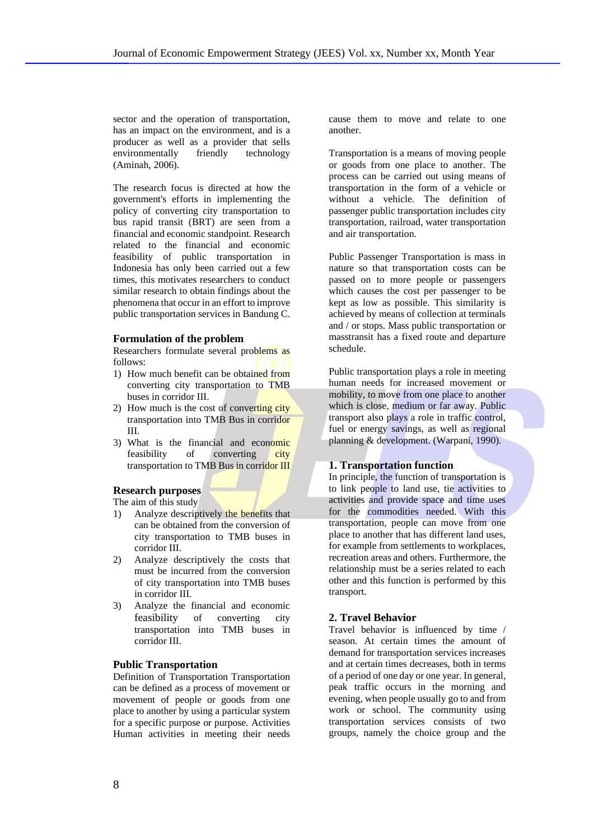sector and the operation of transportation, has an impact on the environment, and is a producer as well as a provider that sells environmentally friendly technology (Aminah, 2006).

The research focus is directed at how the government's efforts in implementing the policy of converting city transportation to bus rapid transit (BRT) are seen from a financial and economic standpoint. Research related to the financial and economic feasibility of public transportation in Indonesia has only been carried out a few times, this motivates researchers to conduct similar research to obtain findings about the phenomena that occur in an effort to improve public transportation services in Bandung C.

#### **Formulation of the problem**

Researchers formulate several problems as follows:

- 1) How much benefit can be obtained from converting city transportation to TMB buses in corridor III.
- 2) How much is the cost of converting city transportation into TMB Bus in corridor III.
- 3) What is the financial and economic feasibility of converting city transportation to TMB Bus in corridor III

## **Research purposes**

The aim of this study

- 1) Analyze descriptively the benefits that can be obtained from the conversion of city transportation to TMB buses in corridor III.
- 2) Analyze descriptively the costs that must be incurred from the conversion of city transportation into TMB buses in corridor III.
- 3) Analyze the financial and economic feasibility of converting city transportation into TMB buses in corridor III.

## **Public Transportation**

Definition of Transportation Transportation can be defined as a process of movement or movement of people or goods from one place to another by using a particular system for a specific purpose or purpose. Activities Human activities in meeting their needs

cause them to move and relate to one another.

Transportation is a means of moving people or goods from one place to another. The process can be carried out using means of transportation in the form of a vehicle or without a vehicle. The definition of passenger public transportation includes city transportation, railroad, water transportation and air transportation.

Public Passenger Transportation is mass in nature so that transportation costs can be passed on to more people or passengers which causes the cost per passenger to be kept as low as possible. This similarity is achieved by means of collection at terminals and / or stops. Mass public transportation or masstransit has a fixed route and departure schedule.

Public transportation plays a role in meeting human needs for increased movement or mobility, to move from one place to another which is close, medium or far away. Public transport also plays a role in traffic control, fuel or energy savings, as well as regional planning & development. (Warpani, 1990).

## **1. Transportation function**

In principle, the function of transportation is to link people to land use, tie activities to activities and provide space and time uses for the commodities needed. With this transportation, people can move from one place to another that has different land uses, for example from settlements to workplaces, recreation areas and others. Furthermore, the relationship must be a series related to each other and this function is performed by this transport.

## **2. Travel Behavior**

Travel behavior is influenced by time / season. At certain times the amount of demand for transportation services increases and at certain times decreases, both in terms of a period of one day or one year. In general, peak traffic occurs in the morning and evening, when people usually go to and from work or school. The community using transportation services consists of two groups, namely the choice group and the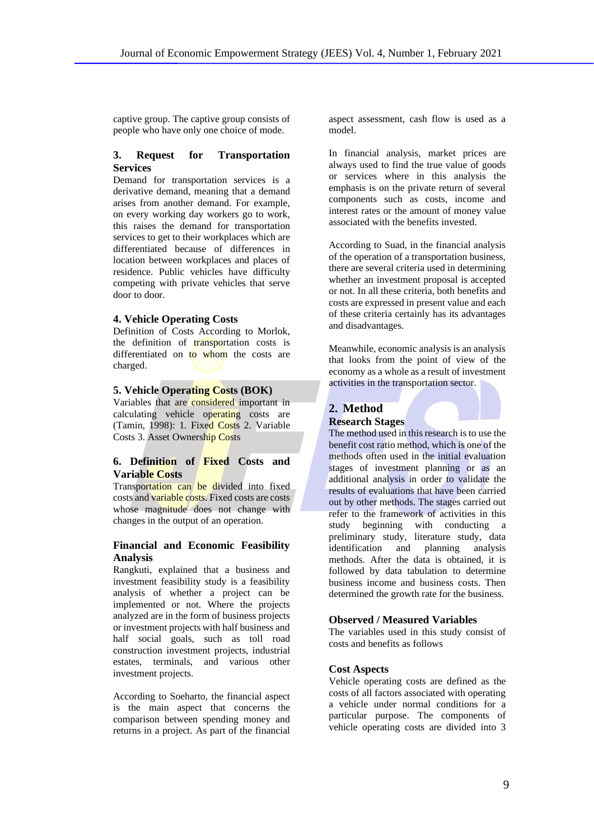captive group. The captive group consists of people who have only one choice of mode.

## **3. Request for Transportation Services**

Demand for transportation services is a derivative demand, meaning that a demand arises from another demand. For example, on every working day workers go to work, this raises the demand for transportation services to get to their workplaces which are differentiated because of differences in location between workplaces and places of residence. Public vehicles have difficulty competing with private vehicles that serve door to door.

#### **4. Vehicle Operating Costs**

Definition of Costs According to Morlok, the definition of transportation costs is differentiated on to whom the costs are charged.

## **5. Vehicle Operating Costs (BOK)**

Variables that are considered important in calculating vehicle operating costs are (Tamin, 1998): 1. Fixed Costs 2. Variable Costs 3. Asset Ownership Costs

## **6. Definition of Fixed Costs and Variable Costs**

Transportation can be divided into fixed costs and variable costs. Fixed costs are costs whose magnitude does not change with changes in the output of an operation.

## **Financial and Economic Feasibility Analysis**

Rangkuti, explained that a business and investment feasibility study is a feasibility analysis of whether a project can be implemented or not. Where the projects analyzed are in the form of business projects or investment projects with half business and half social goals, such as toll road construction investment projects, industrial estates, terminals, and various other investment projects.

According to Soeharto, the financial aspect is the main aspect that concerns the comparison between spending money and returns in a project. As part of the financial

aspect assessment, cash flow is used as a model.

In financial analysis, market prices are always used to find the true value of goods or services where in this analysis the emphasis is on the private return of several components such as costs, income and interest rates or the amount of money value associated with the benefits invested.

According to Suad, in the financial analysis of the operation of a transportation business, there are several criteria used in determining whether an investment proposal is accepted or not. In all these criteria, both benefits and costs are expressed in present value and each of these criteria certainly has its advantages and disadvantages.

Meanwhile, economic analysis is an analysis that looks from the point of view of the economy as a whole as a result of investment activities in the transportation sector.

## **2. Method Research Stages**

The method used in this research is to use the benefit cost ratio method, which is one of the methods often used in the initial evaluation stages of investment planning or as an additional analysis in order to validate the results of evaluations that have been carried out by other methods. The stages carried out refer to the framework of activities in this study beginning with conducting a preliminary study, literature study, data identification and planning analysis methods. After the data is obtained, it is followed by data tabulation to determine business income and business costs. Then determined the growth rate for the business.

## **Observed / Measured Variables**

The variables used in this study consist of costs and benefits as follows

### **Cost Aspects**

Vehicle operating costs are defined as the costs of all factors associated with operating a vehicle under normal conditions for a particular purpose. The components of vehicle operating costs are divided into 3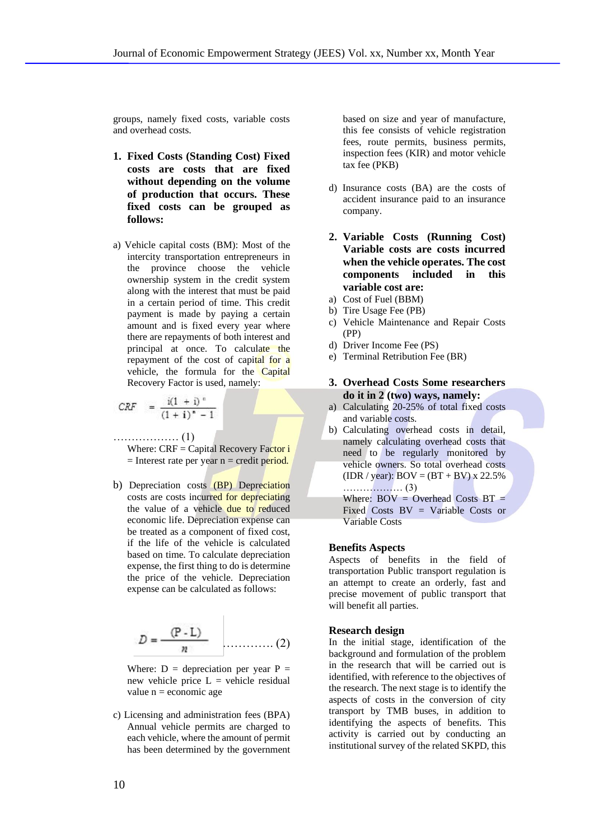groups, namely fixed costs, variable costs and overhead costs.

- **1. Fixed Costs (Standing Cost) Fixed costs are costs that are fixed without depending on the volume of production that occurs. These fixed costs can be grouped as follows:**
- a) Vehicle capital costs (BM): Most of the intercity transportation entrepreneurs in the province choose the vehicle ownership system in the credit system along with the interest that must be paid in a certain period of time. This credit payment is made by paying a certain amount and is fixed every year where there are repayments of both interest and principal at once. To calculate the repayment of the cost of capital for a vehicle, the formula for the Capital Recovery Factor is used, namely:

$$
CRF = \frac{i(1+i)^n}{(1+i)^n - 1}
$$

……………… (1)

Where: CRF = Capital Recovery Factor i  $=$  Interest rate per year n  $=$  credit period.

b) Depreciation costs (BP) Depreciation costs are costs incurred for depreciating the value of a vehicle due to reduced economic life. Depreciation expense can be treated as a component of fixed cost, if the life of the vehicle is calculated based on time. To calculate depreciation expense, the first thing to do is determine the price of the vehicle. Depreciation expense can be calculated as follows:

$$
D = \frac{(P - L)}{n} \quad \dots \dots \dots \dots \dots (2)
$$

Where:  $D =$  depreciation per year  $P =$ new vehicle price  $L =$  vehicle residual value  $n =$  economic age

c) Licensing and administration fees (BPA) Annual vehicle permits are charged to each vehicle, where the amount of permit has been determined by the government based on size and year of manufacture, this fee consists of vehicle registration fees, route permits, business permits, inspection fees (KIR) and motor vehicle tax fee (PKB)

- d) Insurance costs (BA) are the costs of accident insurance paid to an insurance company.
- **2. Variable Costs (Running Cost) Variable costs are costs incurred when the vehicle operates. The cost components included in this variable cost are:**
- a) Cost of Fuel (BBM)
- b) Tire Usage Fee (PB)
- c) Vehicle Maintenance and Repair Costs (PP)
- d) Driver Income Fee (PS)
- e) Terminal Retribution Fee (BR)
- **3. Overhead Costs Some researchers do it in 2 (two) ways, namely:**
- a) Calculating 20-25% of total fixed costs and variable costs.
- b) Calculating overhead costs in detail, namely calculating overhead costs that need to be regularly monitored by vehicle owners. So total overhead costs (IDR / year):  $BOV = (BT + BV) \times 22.5\%$ ……………… (3) Where:  $BOV = Overhead Costs$  BT = Fixed Costs BV = Variable Costs or Variable Costs

#### **Benefits Aspects**

Aspects of benefits in the field of transportation Public transport regulation is an attempt to create an orderly, fast and precise movement of public transport that will benefit all parties.

#### **Research design**

In the initial stage, identification of the background and formulation of the problem in the research that will be carried out is identified, with reference to the objectives of the research. The next stage is to identify the aspects of costs in the conversion of city transport by TMB buses, in addition to identifying the aspects of benefits. This activity is carried out by conducting an institutional survey of the related SKPD, this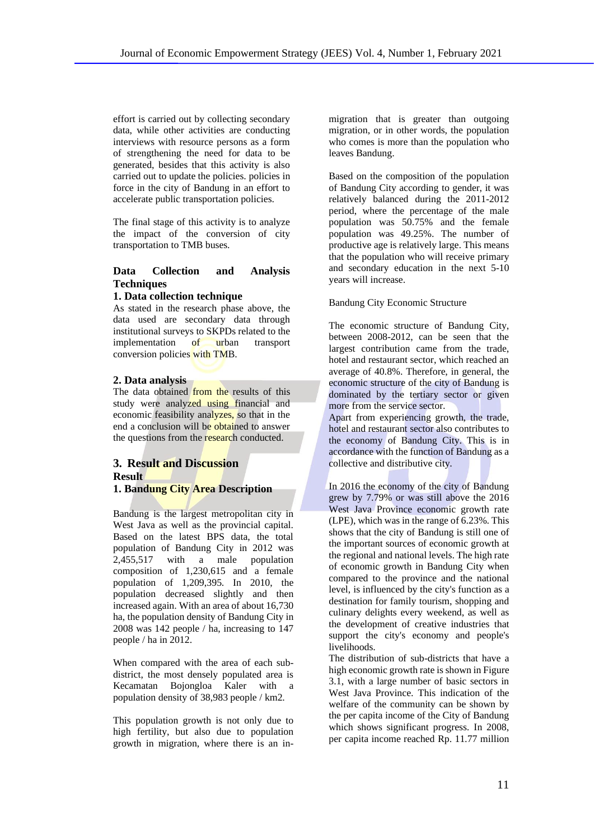effort is carried out by collecting secondary data, while other activities are conducting interviews with resource persons as a form of strengthening the need for data to be generated, besides that this activity is also carried out to update the policies. policies in force in the city of Bandung in an effort to accelerate public transportation policies.

The final stage of this activity is to analyze the impact of the conversion of city transportation to TMB buses.

## **Data Collection and Analysis Techniques**

## **1. Data collection technique**

As stated in the research phase above, the data used are secondary data through institutional surveys to SKPDs related to the implementation of urban transport conversion policies with TMB.

## **2. Data analysis**

The data obtained from the results of this study were analyzed using financial and economic feasibility analyzes, so that in the end a conclusion will be obtained to answer the questions from the research conducted.

# **3. Result and Discussion Result**

## **1. Bandung City Area Description**

Bandung is the largest metropolitan city in West Java as well as the provincial capital. Based on the latest BPS data, the total population of Bandung City in 2012 was 2,455,517 with a male population composition of 1,230,615 and a female population of 1,209,395. In 2010, the population decreased slightly and then increased again. With an area of about 16,730 ha, the population density of Bandung City in 2008 was 142 people / ha, increasing to 147 people / ha in 2012.

When compared with the area of each subdistrict, the most densely populated area is Kecamatan Bojongloa Kaler with a population density of 38,983 people / km2.

This population growth is not only due to high fertility, but also due to population growth in migration, where there is an inmigration that is greater than outgoing migration, or in other words, the population who comes is more than the population who leaves Bandung.

Based on the composition of the population of Bandung City according to gender, it was relatively balanced during the 2011-2012 period, where the percentage of the male population was 50.75% and the female population was 49.25%. The number of productive age is relatively large. This means that the population who will receive primary and secondary education in the next 5-10 years will increase.

## Bandung City Economic Structure

The economic structure of Bandung City, between 2008-2012, can be seen that the largest contribution came from the trade, hotel and restaurant sector, which reached an average of 40.8%. Therefore, in general, the economic structure of the city of Bandung is dominated by the tertiary sector or given more from the service sector.

Apart from experiencing growth, the trade, hotel and restaurant sector also contributes to the economy of Bandung City. This is in accordance with the function of Bandung as a collective and distributive city.

In 2016 the economy of the city of Bandung grew by 7.79% or was still above the 2016 West Java Province economic growth rate (LPE), which was in the range of 6.23%. This shows that the city of Bandung is still one of the important sources of economic growth at the regional and national levels. The high rate of economic growth in Bandung City when compared to the province and the national level, is influenced by the city's function as a destination for family tourism, shopping and culinary delights every weekend, as well as the development of creative industries that support the city's economy and people's livelihoods.

The distribution of sub-districts that have a high economic growth rate is shown in Figure 3.1, with a large number of basic sectors in West Java Province. This indication of the welfare of the community can be shown by the per capita income of the City of Bandung which shows significant progress. In 2008, per capita income reached Rp. 11.77 million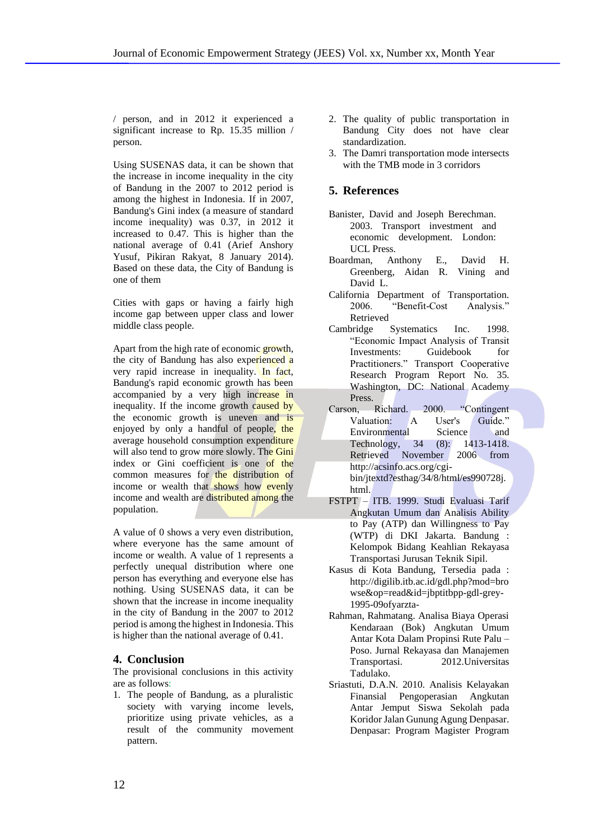/ person, and in 2012 it experienced a significant increase to Rp. 15.35 million / person.

Using SUSENAS data, it can be shown that the increase in income inequality in the city of Bandung in the 2007 to 2012 period is among the highest in Indonesia. If in 2007, Bandung's Gini index (a measure of standard income inequality) was 0.37, in 2012 it increased to 0.47. This is higher than the national average of 0.41 (Arief Anshory Yusuf, Pikiran Rakyat, 8 January 2014). Based on these data, the City of Bandung is one of them

Cities with gaps or having a fairly high income gap between upper class and lower middle class people.

Apart from the high rate of economic growth, the city of Bandung has also experienced a very rapid increase in inequality. In fact, Bandung's rapid economic growth has been accompanied by a very high increase in inequality. If the income growth caused by the economic growth is uneven and is enjoyed by only a handful of people, the average household consumption expenditure will also tend to grow more slowly. The Gini index or Gini coefficient is one of the common measures for the distribution of income or wealth that shows how evenly income and wealth are distributed among the population.

A value of 0 shows a very even distribution, where everyone has the same amount of income or wealth. A value of 1 represents a perfectly unequal distribution where one person has everything and everyone else has nothing. Using SUSENAS data, it can be shown that the increase in income inequality in the city of Bandung in the 2007 to 2012 period is among the highest in Indonesia. This is higher than the national average of 0.41.

## **4. Conclusion**

The provisional conclusions in this activity are as follows:

1. The people of Bandung, as a pluralistic society with varying income levels, prioritize using private vehicles, as a result of the community movement pattern.

- 2. The quality of public transportation in Bandung City does not have clear standardization.
- 3. The Damri transportation mode intersects with the TMB mode in 3 corridors

## **5. References**

- Banister, David and Joseph Berechman. 2003. Transport investment and economic development. London: UCL Press.
- Boardman, Anthony E., David H. Greenberg, Aidan R. Vining and David L.
- California Department of Transportation. 2006. "Benefit-Cost Analysis." Retrieved
- Cambridge Systematics Inc. 1998. "Economic Impact Analysis of Transit Investments: Guidebook for Practitioners." Transport Cooperative Research Program Report No. 35. Washington, DC: National Academy Press.
- Carson, Richard. 2000. "Contingent Valuation: A User's Guide." Environmental Science and Technology, 34 (8): 1413-1418. Retrieved November 2006 from http://acsinfo.acs.org/cgibin/jtextd?esthag/34/8/html/es990728j. html.
- FSTPT ITB. 1999. Studi Evaluasi Tarif Angkutan Umum dan Analisis Ability to Pay (ATP) dan Willingness to Pay (WTP) di DKI Jakarta. Bandung : Kelompok Bidang Keahlian Rekayasa Transportasi Jurusan Teknik Sipil.
- Kasus di Kota Bandung, Tersedia pada : http://digilib.itb.ac.id/gdl.php?mod=bro wse&op=read&id=jbptitbpp-gdl-grey-1995-09ofyarzta-
- Rahman, Rahmatang. Analisa Biaya Operasi Kendaraan (Bok) Angkutan Umum Antar Kota Dalam Propinsi Rute Palu – Poso. Jurnal Rekayasa dan Manajemen Transportasi. 2012.Universitas Tadulako.
- Sriastuti, D.A.N. 2010. Analisis Kelayakan Finansial Pengoperasian Angkutan Antar Jemput Siswa Sekolah pada Koridor Jalan Gunung Agung Denpasar. Denpasar: Program Magister Program